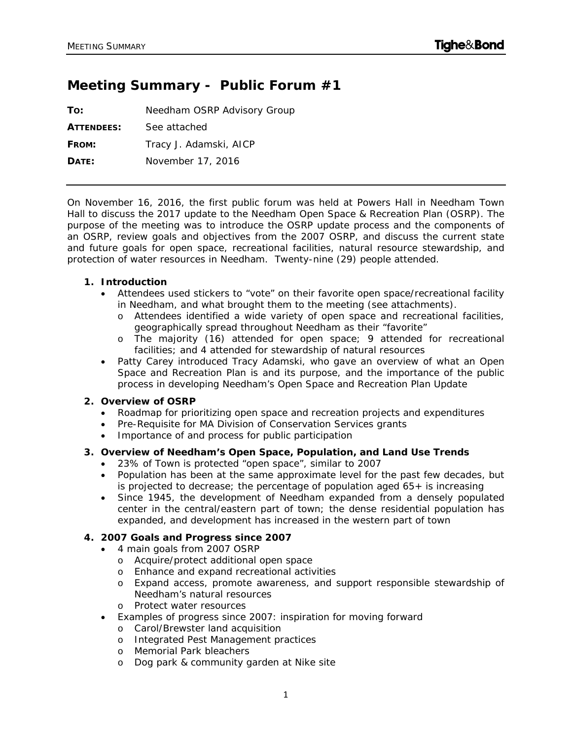# **Meeting Summary - Public Forum #1**

| To:               | Needham OSRP Advisory Group |
|-------------------|-----------------------------|
| <b>ATTENDEES:</b> | See attached                |
| FROM:             | Tracy J. Adamski, AICP      |
| DATE:             | November 17, 2016           |

On November 16, 2016, the first public forum was held at Powers Hall in Needham Town Hall to discuss the 2017 update to the Needham Open Space & Recreation Plan (OSRP). The purpose of the meeting was to introduce the OSRP update process and the components of an OSRP, review goals and objectives from the 2007 OSRP, and discuss the current state and future goals for open space, recreational facilities, natural resource stewardship, and protection of water resources in Needham. Twenty-nine (29) people attended.

# **1. Introduction**

- Attendees used stickers to "vote" on their favorite open space/recreational facility in Needham, and what brought them to the meeting (see attachments).
	- o Attendees identified a wide variety of open space and recreational facilities, geographically spread throughout Needham as their "favorite"
	- o The majority (16) attended for open space; 9 attended for recreational facilities; and 4 attended for stewardship of natural resources
- Patty Carey introduced Tracy Adamski, who gave an overview of what an Open Space and Recreation Plan is and its purpose, and the importance of the public process in developing Needham's Open Space and Recreation Plan Update

## **2. Overview of OSRP**

- Roadmap for prioritizing open space and recreation projects and expenditures
- Pre-Requisite for MA Division of Conservation Services grants
- Importance of and process for public participation

# **3. Overview of Needham's Open Space, Population, and Land Use Trends**

- 23% of Town is protected "open space", similar to 2007
- Population has been at the same approximate level for the past few decades, but is projected to decrease; the percentage of population aged 65+ is increasing
- Since 1945, the development of Needham expanded from a densely populated center in the central/eastern part of town; the dense residential population has expanded, and development has increased in the western part of town

## **4. 2007 Goals and Progress since 2007**

- 4 main goals from 2007 OSRP
	- o Acquire/protect additional open space
	- o Enhance and expand recreational activities
	- o Expand access, promote awareness, and support responsible stewardship of Needham's natural resources
	- o Protect water resources
- Examples of progress since 2007: inspiration for moving forward
	- o Carol/Brewster land acquisition
	- o Integrated Pest Management practices
	- o Memorial Park bleachers
	- o Dog park & community garden at Nike site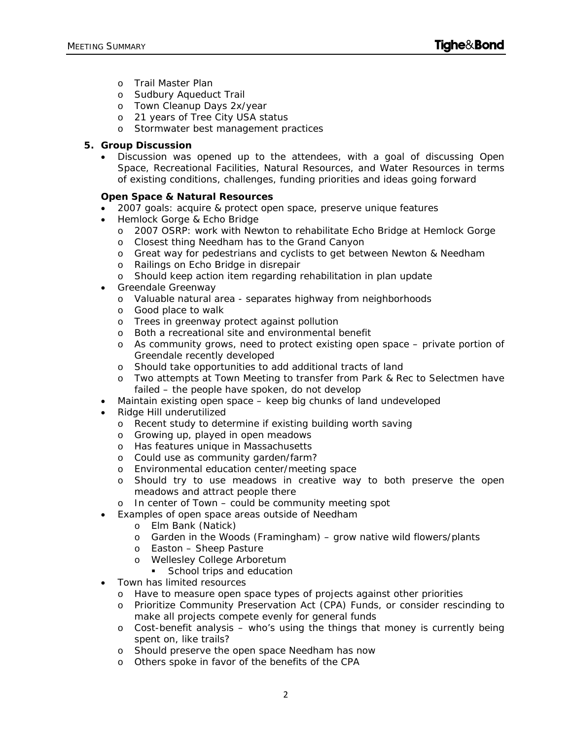- o Trail Master Plan
- o Sudbury Aqueduct Trail
- o Town Cleanup Days 2x/year
- o 21 years of Tree City USA status
- o Stormwater best management practices

# **5. Group Discussion**

 Discussion was opened up to the attendees, with a goal of discussing Open Space, Recreational Facilities, Natural Resources, and Water Resources in terms of existing conditions, challenges, funding priorities and ideas going forward

# **Open Space & Natural Resources**

- 2007 goals: acquire & protect open space, preserve unique features
- Hemlock Gorge & Echo Bridge
	- o 2007 OSRP: work with Newton to rehabilitate Echo Bridge at Hemlock Gorge
	- o Closest thing Needham has to the Grand Canyon
	- o Great way for pedestrians and cyclists to get between Newton & Needham
	- o Railings on Echo Bridge in disrepair
	- o Should keep action item regarding rehabilitation in plan update
- Greendale Greenway
	- o Valuable natural area separates highway from neighborhoods
	- o Good place to walk
	- o Trees in greenway protect against pollution
	- o Both a recreational site and environmental benefit
	- o As community grows, need to protect existing open space private portion of Greendale recently developed
	- o Should take opportunities to add additional tracts of land
	- o Two attempts at Town Meeting to transfer from Park & Rec to Selectmen have failed – the people have spoken, do not develop
- Maintain existing open space keep big chunks of land undeveloped
- Ridge Hill underutilized
	- o Recent study to determine if existing building worth saving
	- o Growing up, played in open meadows
	- o Has features unique in Massachusetts
	- o Could use as community garden/farm?
	- o Environmental education center/meeting space
	- o Should try to use meadows in creative way to both preserve the open meadows and attract people there
	- o In center of Town could be community meeting spot
- Examples of open space areas outside of Needham
	- o Elm Bank (Natick)
	- o Garden in the Woods (Framingham) grow native wild flowers/plants
	- o Easton Sheep Pasture
	- o Wellesley College Arboretum
	- School trips and education
- Town has limited resources
	- o Have to measure open space types of projects against other priorities
	- o Prioritize Community Preservation Act (CPA) Funds, or consider rescinding to make all projects compete evenly for general funds
	- $\circ$  Cost-benefit analysis who's using the things that money is currently being spent on, like trails?
	- o Should preserve the open space Needham has now
	- o Others spoke in favor of the benefits of the CPA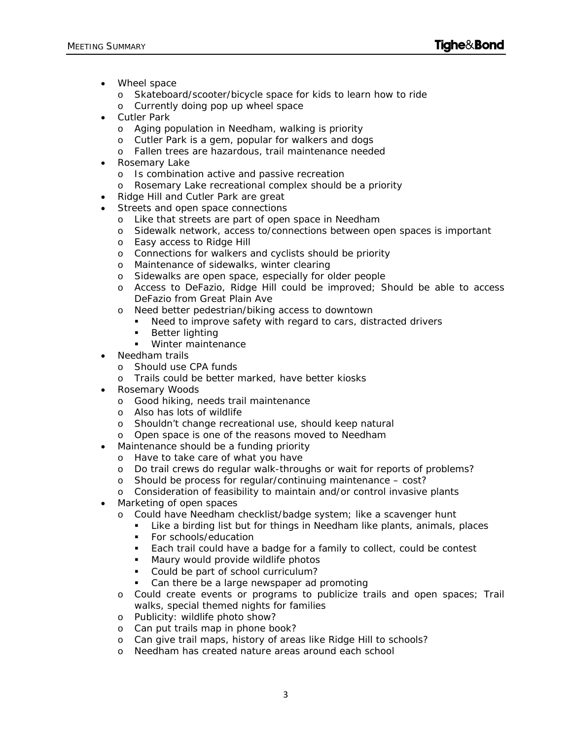- Wheel space
	- o Skateboard/scooter/bicycle space for kids to learn how to ride
	- o Currently doing pop up wheel space
- Cutler Park
	- o Aging population in Needham, walking is priority
	- o Cutler Park is a gem, popular for walkers and dogs
	- o Fallen trees are hazardous, trail maintenance needed
- Rosemary Lake
	- o Is combination active and passive recreation
	- o Rosemary Lake recreational complex should be a priority
- Ridge Hill and Cutler Park are great
- Streets and open space connections
	- o Like that streets are part of open space in Needham
	- o Sidewalk network, access to/connections between open spaces is important
	- o Easy access to Ridge Hill
	- o Connections for walkers and cyclists should be priority
	- o Maintenance of sidewalks, winter clearing
	- o Sidewalks are open space, especially for older people
	- o Access to DeFazio, Ridge Hill could be improved; Should be able to access DeFazio from Great Plain Ave
	- o Need better pedestrian/biking access to downtown
		- Need to improve safety with regard to cars, distracted drivers
		- Better lighting
		- **Winter maintenance**
- Needham trails
	- o Should use CPA funds
	- o Trails could be better marked, have better kiosks
- Rosemary Woods
	- o Good hiking, needs trail maintenance
	- o Also has lots of wildlife
	- o Shouldn't change recreational use, should keep natural
	- o Open space is one of the reasons moved to Needham
- Maintenance should be a funding priority
	- o Have to take care of what you have
	- o Do trail crews do regular walk-throughs or wait for reports of problems?
	- o Should be process for regular/continuing maintenance cost?
	- o Consideration of feasibility to maintain and/or control invasive plants
- Marketing of open spaces
	- o Could have Needham checklist/badge system; like a scavenger hunt
		- Like a birding list but for things in Needham like plants, animals, places
		- **For schools/education**
		- **Each trail could have a badge for a family to collect, could be contest**
		- **Maury would provide wildlife photos**
		- Could be part of school curriculum?
		- Can there be a large newspaper ad promoting
	- o Could create events or programs to publicize trails and open spaces; Trail walks, special themed nights for families
	- o Publicity: wildlife photo show?
	- o Can put trails map in phone book?
	- o Can give trail maps, history of areas like Ridge Hill to schools?
	- o Needham has created nature areas around each school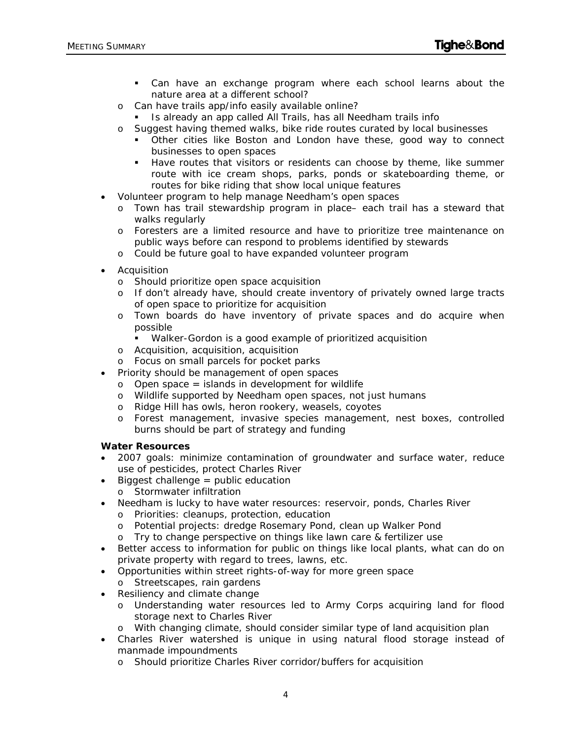- Can have an exchange program where each school learns about the nature area at a different school?
- o Can have trails app/info easily available online?
- Is already an app called All Trails, has all Needham trails info
- o Suggest having themed walks, bike ride routes curated by local businesses
	- Other cities like Boston and London have these, good way to connect businesses to open spaces
	- Have routes that visitors or residents can choose by theme, like summer route with ice cream shops, parks, ponds or skateboarding theme, or routes for bike riding that show local unique features
- Volunteer program to help manage Needham's open spaces
	- o Town has trail stewardship program in place– each trail has a steward that walks regularly
	- o Foresters are a limited resource and have to prioritize tree maintenance on public ways before can respond to problems identified by stewards
	- o Could be future goal to have expanded volunteer program
- Acquisition
	- o Should prioritize open space acquisition
	- o If don't already have, should create inventory of privately owned large tracts of open space to prioritize for acquisition
	- o Town boards do have inventory of private spaces and do acquire when possible
		- Walker-Gordon is a good example of prioritized acquisition
	- o Acquisition, acquisition, acquisition
	- o Focus on small parcels for pocket parks
- Priority should be management of open spaces
	- $\circ$  Open space = islands in development for wildlife
	- o Wildlife supported by Needham open spaces, not just humans
	- o Ridge Hill has owls, heron rookery, weasels, coyotes
	- o Forest management, invasive species management, nest boxes, controlled burns should be part of strategy and funding

#### **Water Resources**

- 2007 goals: minimize contamination of groundwater and surface water, reduce use of pesticides, protect Charles River
- $\bullet$  Biggest challenge = public education
	- o Stormwater infiltration
- Needham is lucky to have water resources: reservoir, ponds, Charles River
	- o Priorities: cleanups, protection, education
	- o Potential projects: dredge Rosemary Pond, clean up Walker Pond
	- o Try to change perspective on things like lawn care & fertilizer use
- Better access to information for public on things like local plants, what can do on private property with regard to trees, lawns, etc.
- Opportunities within street rights-of-way for more green space
- o Streetscapes, rain gardens
- Resiliency and climate change
	- o Understanding water resources led to Army Corps acquiring land for flood storage next to Charles River
	- o With changing climate, should consider similar type of land acquisition plan
- Charles River watershed is unique in using natural flood storage instead of manmade impoundments
	- o Should prioritize Charles River corridor/buffers for acquisition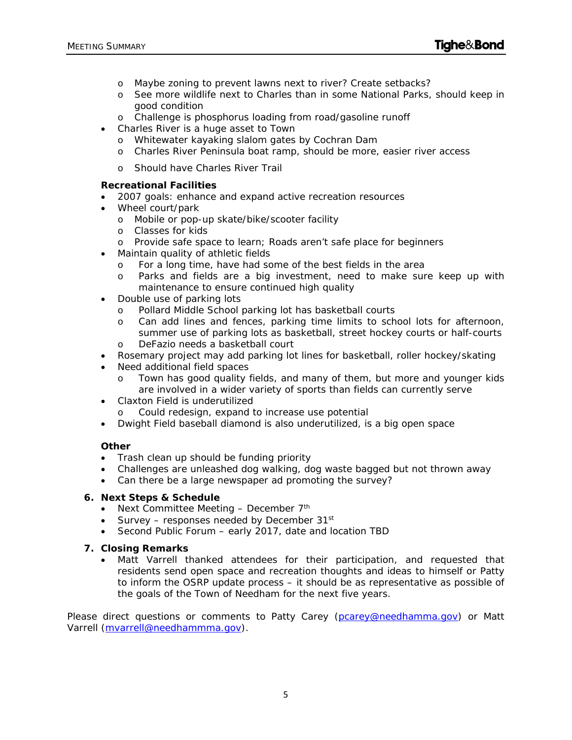- o Maybe zoning to prevent lawns next to river? Create setbacks?
- o See more wildlife next to Charles than in some National Parks, should keep in good condition
- o Challenge is phosphorus loading from road/gasoline runoff
- Charles River is a huge asset to Town
	- o Whitewater kayaking slalom gates by Cochran Dam
	- o Charles River Peninsula boat ramp, should be more, easier river access
	- o Should have Charles River Trail

#### **Recreational Facilities**

- 2007 goals: enhance and expand active recreation resources
- Wheel court/park
	- o Mobile or pop-up skate/bike/scooter facility
	- o Classes for kids
	- o Provide safe space to learn; Roads aren't safe place for beginners
- Maintain quality of athletic fields
	- o For a long time, have had some of the best fields in the area
	- o Parks and fields are a big investment, need to make sure keep up with maintenance to ensure continued high quality
- Double use of parking lots
	- o Pollard Middle School parking lot has basketball courts
	- o Can add lines and fences, parking time limits to school lots for afternoon, summer use of parking lots as basketball, street hockey courts or half-courts
	- o DeFazio needs a basketball court
- Rosemary project may add parking lot lines for basketball, roller hockey/skating
- Need additional field spaces
	- o Town has good quality fields, and many of them, but more and younger kids are involved in a wider variety of sports than fields can currently serve
- Claxton Field is underutilized
	- Could redesign, expand to increase use potential
- Dwight Field baseball diamond is also underutilized, is a big open space

## **Other**

- Trash clean up should be funding priority
- Challenges are unleashed dog walking, dog waste bagged but not thrown away
- Can there be a large newspaper ad promoting the survey?

#### **6. Next Steps & Schedule**

- Next Committee Meeting  $-$  December  $7<sup>th</sup>$
- Survey responses needed by December  $31^{st}$
- Second Public Forum early 2017, date and location TBD

## **7. Closing Remarks**

 Matt Varrell thanked attendees for their participation, and requested that residents send open space and recreation thoughts and ideas to himself or Patty to inform the OSRP update process – it should be as representative as possible of the goals of the Town of Needham for the next five years.

Please direct questions or comments to Patty Carey (pcarey@needhamma.gov) or Matt Varrell (mvarrell@needhammma.gov).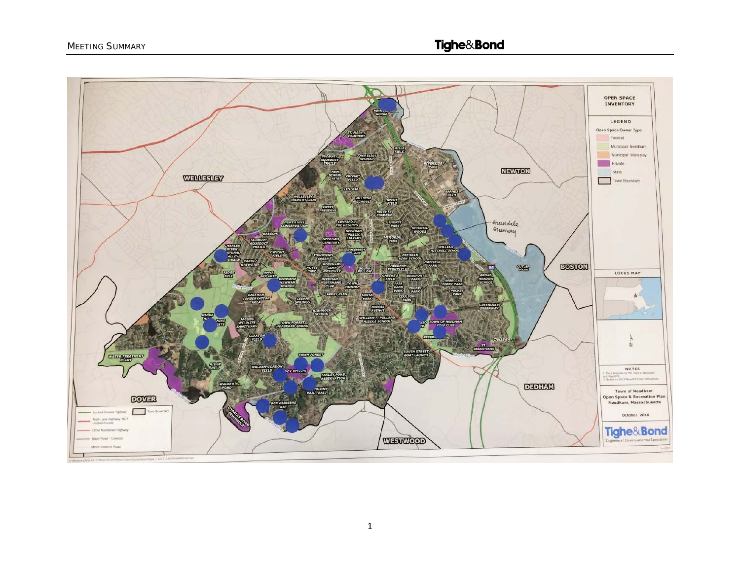